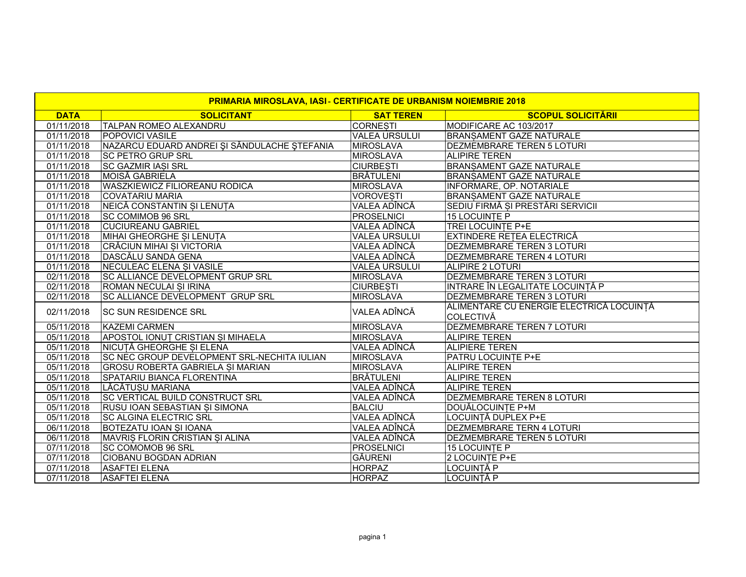| PRIMARIA MIROSLAVA, IASI - CERTIFICATE DE URBANISM NOIEMBRIE 2018 |                                                    |                      |                                                              |
|-------------------------------------------------------------------|----------------------------------------------------|----------------------|--------------------------------------------------------------|
| <b>DATA</b>                                                       | <b>SOLICITANT</b>                                  | <b>SAT TEREN</b>     | <b>SCOPUL SOLICITĂRII</b>                                    |
| 01/11/2018                                                        | <b>TALPAN ROMEO ALEXANDRU</b>                      | <b>CORNESTI</b>      | MODIFICARE AC 103/2017                                       |
| 01/11/2018                                                        | <b>POPOVICI VASILE</b>                             | <b>VALEA URSULUI</b> | <b>BRANSAMENT GAZE NATURALE</b>                              |
| 01/11/2018                                                        | NAZARCU EDUARD ANDREI ȘI SĂNDULACHE ȘTEFANIA       | MIROSLAVA            | <b>DEZMEMBRARE TEREN 5 LOTURI</b>                            |
| 01/11/2018                                                        | <b>SC PETRO GRUP SRL</b>                           | <b>MIROSLAVA</b>     | <b>ALIPIRE TEREN</b>                                         |
| 01/11/2018                                                        | <b>SC GAZMIR IASI SRL</b>                          | <b>CIURBESTI</b>     | <b>BRANSAMENT GAZE NATURALE</b>                              |
| 01/11/2018                                                        | MOISĂ GABRIELA                                     | <b>BRÄTULENI</b>     | <b>BRANSAMENT GAZE NATURALE</b>                              |
| 01/11/2018                                                        | <b>WASZKIEWICZ FILIOREANU RODICA</b>               | <b>MIROSLAVA</b>     | <b>INFORMARE, OP. NOTARIALE</b>                              |
| 01/11/2018                                                        | <b>COVATARIU MARIA</b>                             | <b>VOROVESTI</b>     | <b>BRANSAMENT GAZE NATURALE</b>                              |
| 01/11/2018                                                        | NEICĂ CONSTANTIN ȘI LENUTA                         | VALEA ADÎNCĂ         | SEDIU FIRMĂ SI PRESTĂRI SERVICII                             |
| 01/11/2018                                                        | <b>SC COMIMOB 96 SRL</b>                           | <b>PROSELNICI</b>    | <b>15 LOCUINTE P</b>                                         |
| 01/11/2018                                                        | <b>CUCIUREANU GABRIEL</b>                          | VALEA ADÎNCĂ         | <b>TREI LOCUINTE P+E</b>                                     |
| 01/11/2018                                                        | MIHAI GHEORGHE SI LENUTA                           | <b>VALEA URSULUI</b> | <b>EXTINDERE RETEA ELECTRICĂ</b>                             |
| 01/11/2018                                                        | <b>CRĂCIUN MIHAI SI VICTORIA</b>                   | VALEA ADÎNCĂ         | DEZMEMBRARE TEREN 3 LOTURI                                   |
| 01/11/2018                                                        | DASCĂLU SANDA GENA                                 | VALEA ADÎNCĂ         | <b>DEZMEMBRARE TEREN 4 LOTURI</b>                            |
| 01/11/2018                                                        | NECULEAC ELENA SI VASILE                           | <b>VALEA URSULUI</b> | ALIPIRE 2 LOTURI                                             |
| 02/11/2018                                                        | <b>SC ALLIANCE DEVELOPMENT GRUP SRL</b>            | <b>MIROSLAVA</b>     | <b>DEZMEMBRARE TEREN 3 LOTURI</b>                            |
| 02/11/2018                                                        | <b>ROMAN NECULAI SI IRINA</b>                      | <b>CIURBESTI</b>     | INTRARE ÎN LEGALITATE LOCUINȚĂ P                             |
| 02/11/2018                                                        | <b>SC ALLIANCE DEVELOPMENT GRUP SRL</b>            | <b>MIROSLAVA</b>     | <b>DEZMEMBRARE TEREN 3 LOTURI</b>                            |
| 02/11/2018                                                        | <b>SC SUN RESIDENCE SRL</b>                        | VALEA ADÎNCĂ         | ALIMENTARE CU ENERGIE ELECTRICĂ LOCUINȚĂ<br><b>COLECTIVĂ</b> |
| 05/11/2018                                                        | <b>KAZEMI CARMEN</b>                               | <b>MIROSLAVA</b>     | <b>DEZMEMBRARE TEREN 7 LOTURI</b>                            |
| 05/11/2018                                                        | <b>APOSTOL IONUT CRISTIAN SI MIHAELA</b>           | <b>MIROSLAVA</b>     | <b>ALIPIRE TEREN</b>                                         |
| 05/11/2018                                                        | NICUȚĂ GHEORGHE SI ELENA                           | VALEA ADÎNCĂ         | <b>ALIPIERE TEREN</b>                                        |
| 05/11/2018                                                        | <b>SC NEC GROUP DEVELOPMENT SRL-NECHITA IULIAN</b> | <b>MIROSLAVA</b>     | <b>PATRU LOCUINTE P+E</b>                                    |
| 05/11/2018                                                        | <b>GROSU ROBERTA GABRIELA SI MARIAN</b>            | <b>MIROSLAVA</b>     | <b>ALIPIRE TEREN</b>                                         |
| 05/11/2018                                                        | <b>SPATARIU BIANCA FLORENTINA</b>                  | <b>BRÄTULENI</b>     | <b>ALIPIRE TEREN</b>                                         |
| 05/11/2018                                                        | LĂCĂTUSU MARIANA                                   | VALEA ADÎNCĂ         | <b>ALIPIRE TEREN</b>                                         |
| 05/11/2018                                                        | <b>SC VERTICAL BUILD CONSTRUCT SRL</b>             | VALEA ADÎNCĂ         | <b>DEZMEMBRARE TEREN 8 LOTURI</b>                            |
| 05/11/2018                                                        | <b>RUSU IOAN SEBASTIAN SI SIMONA</b>               | <b>BALCIU</b>        | DOUĂLOCUINTE P+M                                             |
| 05/11/2018                                                        | <b>SC ALGINA ELECTRIC SRL</b>                      | VALEA ADÎNCĂ         | LOCUINȚĂ DUPLEX P+E                                          |
| 06/11/2018                                                        | <b>BOTEZATU IOAN SI IOANA</b>                      | VALEA ADÎNCĂ         | DEZMEMBRARE TERN 4 LOTURI                                    |
| 06/11/2018                                                        | MAVRIS FLORIN CRISTIAN SI ALINA                    | VALEA ADÎNCĂ         | IDEZMEMBRARE TEREN 5 LOTURI                                  |
| 07/11/2018                                                        | <b>SC COMOMOB 96 SRL</b>                           | <b>PROSELNICI</b>    | 15 LOCUINTE P                                                |
| 07/11/2018                                                        | <b>CIOBANU BOGDAN ADRIAN</b>                       | <b>GÄURENI</b>       | 2 LOCUINTE P+E                                               |
| 07/11/2018                                                        | <b>ASAFTEI ELENA</b>                               | <b>HORPAZ</b>        | LOCUINTĂ P                                                   |
| 07/11/2018                                                        | <b>ASAFTEI ELENA</b>                               | <b>HORPAZ</b>        | LOCUINTĂ P                                                   |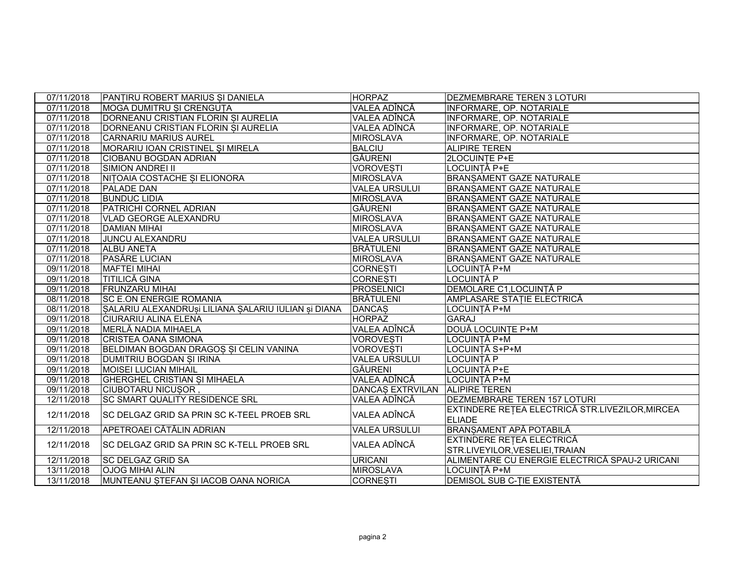| 07/11/2018 | <b>PANTIRU ROBERT MARIUS SI DANIELA</b>             | <b>HORPAZ</b>                  | <b>DEZMEMBRARE TEREN 3 LOTURI</b>                                |
|------------|-----------------------------------------------------|--------------------------------|------------------------------------------------------------------|
| 07/11/2018 | MOGA DUMITRU SI CRENGUTA                            | VALEA ADÎNCĂ                   | INFORMARE, OP. NOTARIALE                                         |
| 07/11/2018 | DORNEANU CRISTIAN FLORIN SI AURELIA                 | VALEA ADÎNCĂ                   | INFORMARE, OP. NOTARIALE                                         |
| 07/11/2018 | DORNEANU CRISTIAN FLORIN SI AURELIA                 | VALEA ADÎNCĂ                   | INFORMARE, OP. NOTARIALE                                         |
| 07/11/2018 | <b>CARNARIU MARIUS AUREL</b>                        | <b>MIROSLAVA</b>               | <b>INFORMARE, OP. NOTARIALE</b>                                  |
| 07/11/2018 | MORARIU IOAN CRISTINEL ȘI MIRELA                    | <b>BALCIU</b>                  | <b>ALIPIRE TEREN</b>                                             |
| 07/11/2018 | <b>CIOBANU BOGDAN ADRIAN</b>                        | <b>GĂURENI</b>                 | <b>ZLOCUINTE P+E</b>                                             |
| 07/11/2018 | <b>SIMION ANDREI II</b>                             | <b>VOROVESTI</b>               | LOCUINTĂ P+E                                                     |
| 07/11/2018 | NITOAIA COSTACHE SI ELIONORA                        | <b>MIROSLAVA</b>               | <b>BRANSAMENT GAZE NATURALE</b>                                  |
| 07/11/2018 | <b>PALADE DAN</b>                                   | <b>VALEA URSULUI</b>           | <b>BRANSAMENT GAZE NATURALE</b>                                  |
| 07/11/2018 | <b>BUNDUC LIDIA</b>                                 | <b>MIROSLAVA</b>               | <b>BRANSAMENT GAZE NATURALE</b>                                  |
| 07/11/2018 | PATRICHI CORNEL ADRIAN                              | <b>GĂURENI</b>                 | <b>BRANSAMENT GAZE NATURALE</b>                                  |
| 07/11/2018 | VLAD GEORGE ALEXANDRU                               | <b>MIROSLAVA</b>               | <b>BRANSAMENT GAZE NATURALE</b>                                  |
| 07/11/2018 | <b>DAMIAN MIHAI</b>                                 | <b>MIROSLAVA</b>               | <b>BRANSAMENT GAZE NATURALE</b>                                  |
| 07/11/2018 | <b>JUNCU ALEXANDRU</b>                              | <b>VALEA URSULUI</b>           | <b>BRANSAMENT GAZE NATURALE</b>                                  |
| 07/11/2018 | <b>ALBU ANETA</b>                                   | <b>BRÄTULENI</b>               | <b>BRANSAMENT GAZE NATURALE</b>                                  |
| 07/11/2018 | <b>PASĂRE LUCIAN</b>                                | <b>MIROSLAVA</b>               | <b>BRANSAMENT GAZE NATURALE</b>                                  |
| 09/11/2018 | <b>MAFTEI MIHAI</b>                                 | <b>CORNESTI</b>                | LOCUINTĂ P+M                                                     |
| 09/11/2018 | <b>TITILICĂ GINA</b>                                | <b>CORNESTI</b>                | LOCUINTĂ P                                                       |
| 09/11/2018 | <b>FRUNZARU MIHAI</b>                               | <b>PROSELNICI</b>              | <b>DEMOLARE C1,LOCUINTĂ P</b>                                    |
| 08/11/2018 | <b>SC E.ON ENERGIE ROMANIA</b>                      | <b>BRÄTULENI</b>               | AMPLASARE STATIE ELECTRICĂ                                       |
| 08/11/2018 | SALARIU ALEXANDRUSI LILIANA SALARIU IULIAN SI DIANA | <b>DANCAS</b>                  | LOCUINȚĂ P+M                                                     |
| 09/11/2018 | <b>CIURARIU ALINA ELENA</b>                         | <b>HORPAZ</b>                  | <b>GARAJ</b>                                                     |
| 09/11/2018 | MERLĂ NADIA MIHAELA                                 | VALEA ADÎNCĂ                   | DOUĂ LOCUINTE P+M                                                |
| 09/11/2018 | <b>CRISTEA OANA SIMONA</b>                          | <b>VOROVESTI</b>               | LOCUINTĂ P+M                                                     |
| 09/11/2018 | BELDIMAN BOGDAN DRAGOS SI CELIN VANINA              | <b>VOROVESTI</b>               | LOCUINȚĂ S+P+M                                                   |
| 09/11/2018 | <b>DUMITRIU BOGDAN ȘI IRINA</b>                     | <b>VALEA URSULUI</b>           | LOCUINTĂ P                                                       |
| 09/11/2018 | <b>MOISEI LUCIAN MIHAIL</b>                         | <b>GÄURENI</b>                 | LOCUINȚĂ P+E                                                     |
| 09/11/2018 | <b>GHERGHEL CRISTIAN SI MIHAELA</b>                 | VALEA ADÎNCĂ                   | LOCUINTĂ P+M                                                     |
| 09/11/2018 | <b>CIUBOTARU NICUSOR</b>                            | DANCAS EXTRVILAN ALIPIRE TEREN |                                                                  |
| 12/11/2018 | <b>SC SMART QUALITY RESIDENCE SRL</b>               | VALEA ADÎNCĂ                   | <b>DEZMEMBRARE TEREN 157 LOTURI</b>                              |
| 12/11/2018 | SC DELGAZ GRID SA PRIN SC K-TEEL PROEB SRL          | VALEA ADÎNCĂ                   | EXTINDERE REȚEA ELECTRICĂ STR.LIVEZILOR, MIRCEA<br><b>ELIADE</b> |
| 12/11/2018 | APETROAEI CĂTĂLIN ADRIAN                            | <b>VALEA URSULUI</b>           | <b>BRANSAMENT APĂ POTABILĂ</b>                                   |
|            |                                                     |                                | EXTINDERE REȚEA ELECTRICĂ                                        |
| 12/11/2018 | SC DELGAZ GRID SA PRIN SC K-TELL PROEB SRL          | VALEA ADÎNCĂ                   | STR.LIVEYILOR, VESELIEI, TRAIAN                                  |
| 12/11/2018 | <b>SC DELGAZ GRID SA</b>                            | <b>URICANI</b>                 | ALIMENTARE CU ENERGIE ELECTRICĂ SPAU-2 URICANI                   |
| 13/11/2018 | <b>OJOG MIHAI ALIN</b>                              | <b>MIROSLAVA</b>               | LOCUINȚĂ P+M                                                     |
| 13/11/2018 | MUNTEANU STEFAN SI IACOB OANA NORICA                | <b>CORNESTI</b>                | <b>DEMISOL SUB C-TIE EXISTENTĂ</b>                               |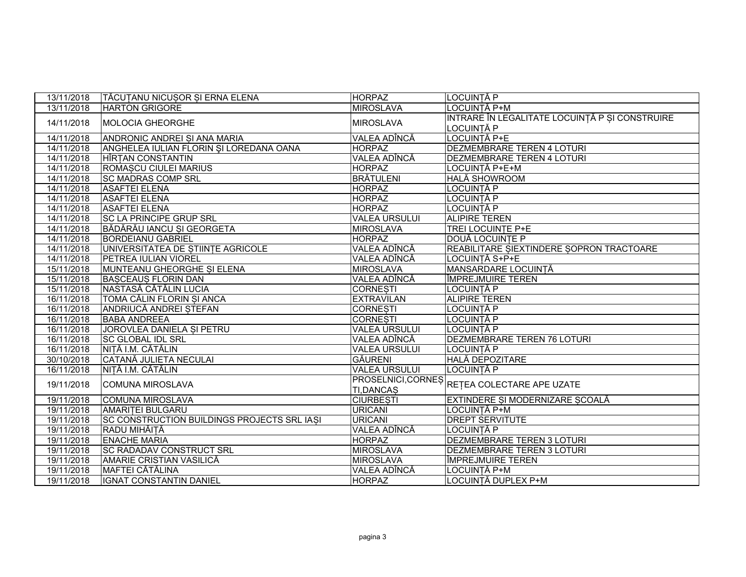| 13/11/2018 | TĂCUTANU NICUSOR SI ERNA ELENA              | <b>HORPAZ</b>                          | <b>LOCUINTĂ P</b>                                            |
|------------|---------------------------------------------|----------------------------------------|--------------------------------------------------------------|
| 13/11/2018 | <b>HARTON GRIGORE</b>                       | <b>MIROSLAVA</b>                       | LOCUINTĂ P+M                                                 |
| 14/11/2018 | <b>MOLOCIA GHEORGHE</b>                     | <b>MIROSLAVA</b>                       | INTRARE ÎN LEGALITATE LOCUINȚĂ P ȘI CONSTRUIRE<br>LOCUINTĂ P |
| 14/11/2018 | ANDRONIC ANDREI SI ANA MARIA                | VALEA ADÎNCĂ                           | LOCUINȚĂ P+E                                                 |
| 14/11/2018 | ANGHELEA IULIAN FLORIN ȘI LOREDANA OANA     | <b>HORPAZ</b>                          | <b>DEZMEMBRARE TEREN 4 LOTURI</b>                            |
| 14/11/2018 | <b>HÎRTAN CONSTANTIN</b>                    | VALEA ADÎNCĂ                           | <b>DEZMEMBRARE TEREN 4 LOTURI</b>                            |
| 14/11/2018 | ROMASCU CIULEI MARIUS                       | <b>HORPAZ</b>                          | LOCUINTĂ P+E+M                                               |
| 14/11/2018 | <b>SC MADRAS COMP SRL</b>                   | <b>BRĂTULENI</b>                       | HALĂ SHOWROOM                                                |
| 14/11/2018 | <b>ASAFTEI ELENA</b>                        | <b>HORPAZ</b>                          | LOCUINȚĂ P                                                   |
| 14/11/2018 | <b>ASAFTEI ELENA</b>                        | <b>HORPAZ</b>                          | LOCUINTĂ P                                                   |
| 14/11/2018 | <b>ASAFTEI ELENA</b>                        | <b>HORPAZ</b>                          | LOCUINȚĂ P                                                   |
| 14/11/2018 | <b>SC LA PRINCIPE GRUP SRL</b>              | <b>VALEA URSULUI</b>                   | <b>ALIPIRE TEREN</b>                                         |
| 14/11/2018 | BĂDĂRĂU IANCU SI GEORGETA                   | <b>MIROSLAVA</b>                       | TREI LOCUINTE P+E                                            |
| 14/11/2018 | <b>BORDEIANU GABRIEL</b>                    | <b>HORPAZ</b>                          | DOUĂ LOCUINȚE P                                              |
| 14/11/2018 | UNIVERSITATEA DE STIINTE AGRICOLE           | VALEA ADÎNCĂ                           | REABILITARE SIEXTINDERE SOPRON TRACTOARE                     |
| 14/11/2018 | PETREA IULIAN VIOREL                        | VALEA ADÎNCĂ                           | LOCUINTĂ S+P+E                                               |
| 15/11/2018 | MUNTEANU GHEORGHE SI ELENA                  | <b>MIROSLAVA</b>                       | <b>MANSARDARE LOCUINTĂ</b>                                   |
| 15/11/2018 | <b>BASCEAUS FLORIN DAN</b>                  | VALEA ADÎNCĂ                           | <b>ÎMPREJMUIRE TEREN</b>                                     |
| 15/11/2018 | NASTASĂ CĂTĂLIN LUCIA                       | <b>CORNESTI</b>                        | LOCUINȚĂ P                                                   |
| 16/11/2018 | TOMA CĂLIN FLORIN SI ANCA                   | <b>EXTRAVILAN</b>                      | <b>ALIPIRE TEREN</b>                                         |
| 16/11/2018 | ANDRIUCĂ ANDREI STEFAN                      | <b>CORNESTI</b>                        | LOCUINȚĂ P                                                   |
| 16/11/2018 | <b>BABA ANDREEA</b>                         | <b>CORNESTI</b>                        | LOCUINTĂ P                                                   |
| 16/11/2018 | JOROVLEA DANIELA SI PETRU                   | <b>VALEA URSULUI</b>                   | LOCUINTĂ P                                                   |
| 16/11/2018 | <b>SC GLOBAL IDL SRL</b>                    | VALEA ADÎNCĂ                           | DEZMEMBRARE TEREN 76 LOTURI                                  |
| 16/11/2018 | NIȚĂ I.M. CĂTĂLIN                           | <b>VALEA URSULUI</b>                   | <b>LOCUINTĂ P</b>                                            |
| 30/10/2018 | CATANĂ JULIETA NECULAI                      | <b>GÄURENI</b>                         | <b>HALĂ DEPOZITARE</b>                                       |
| 16/11/2018 | NITĂ I.M. CĂTĂLIN                           | <b>VALEA URSULUI</b>                   | LOCUINTĂ P                                                   |
| 19/11/2018 | <b>COMUNA MIROSLAVA</b>                     | PROSELNICI, CORNES<br><b>TI,DANCAS</b> | RETEA COLECTARE APE UZATE                                    |
| 19/11/2018 | <b>COMUNA MIROSLAVA</b>                     | <b>CIURBESTI</b>                       | EXTINDERE SI MODERNIZARE SCOALĂ                              |
| 19/11/2018 | <b>AMARITEI BULGARU</b>                     | <b>URICANI</b>                         | LOCUINTĂ P+M                                                 |
| 19/11/2018 | SC CONSTRUCTION BUILDINGS PROJECTS SRL IASI | <b>URICANI</b>                         | <b>DREPT SERVITUTE</b>                                       |
| 19/11/2018 | RADU MIHĂIȚĂ                                | VALEA ADÎNCĂ                           | LOCUINTĂ P                                                   |
| 19/11/2018 | <b>ENACHE MARIA</b>                         | <b>HORPAZ</b>                          | DEZMEMBRARE TEREN 3 LOTURI                                   |
| 19/11/2018 | <b>SC RADADAV CONSTRUCT SRL</b>             | <b>MIROSLAVA</b>                       | DEZMEMBRARE TEREN 3 LOTURI                                   |
| 19/11/2018 | AMARIE CRISTIAN VASILICĂ                    | <b>MIROSLAVA</b>                       | ÎMPREJMUIRE TEREN                                            |
| 19/11/2018 | <b>MAFTEI CĂTĂLINA</b>                      | VALEA ADÎNCĂ                           | LOCUINȚĂ P+M                                                 |
| 19/11/2018 | <b>IGNAT CONSTANTIN DANIEL</b>              | <b>HORPAZ</b>                          | LOCUINTĂ DUPLEX P+M                                          |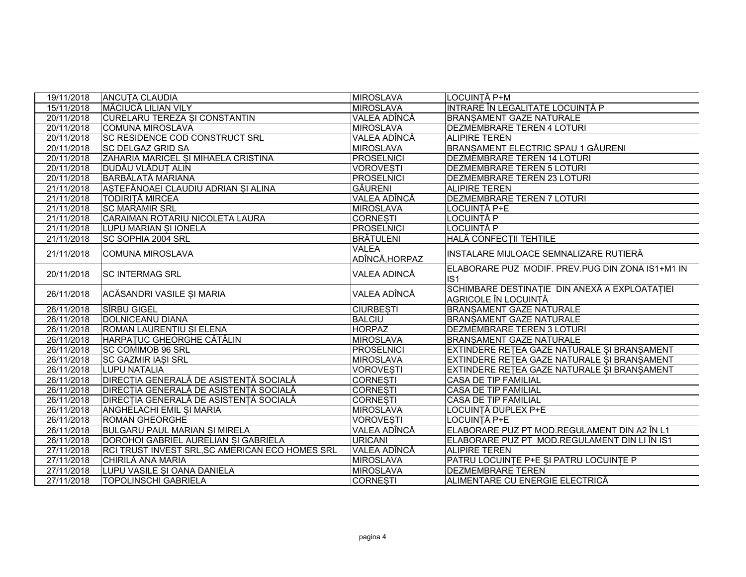| 19/11/2018 | <b>ANCUTA CLAUDIA</b>                           | <b>MIROSLAVA</b>               | LOCUINTĂ P+M                                                                 |
|------------|-------------------------------------------------|--------------------------------|------------------------------------------------------------------------------|
| 15/11/2018 | <b>MĂCIUCĂ LILIAN VILY</b>                      | <b>MIROSLAVA</b>               | INTRARE ÎN LEGALITATE LOCUINȚĂ P                                             |
| 20/11/2018 | <b>CURELARU TEREZA SI CONSTANTIN</b>            | VALEA ADÎNCĂ                   | <b>BRANSAMENT GAZE NATURALE</b>                                              |
| 20/11/2018 | <b>COMUNA MIROSLAVA</b>                         | <b>MIROSLAVA</b>               | DEZMEMBRARE TEREN 4 LOTURI                                                   |
| 20/11/2018 | <b>SC RESIDENCE COD CONSTRUCT SRL</b>           | VALEA ADÎNCĂ                   | <b>ALIPIRE TEREN</b>                                                         |
| 20/11/2018 | <b>SC DELGAZ GRID SA</b>                        | <b>MIROSLAVA</b>               | BRANSAMENT ELECTRIC SPAU 1 GĂURENI                                           |
| 20/11/2018 | ZAHARIA MARICEL SI MIHAELA CRISTINA             | PROSELNICI                     | <b>DEZMEMBRARE TEREN 14 LOTURI</b>                                           |
| 20/11/2018 | <b>DUDĂU VLĂDUȚ ALIN</b>                        | <b>VOROVESTI</b>               | <b>DEZMEMBRARE TEREN 5 LOTURI</b>                                            |
| 20/11/2018 | <b>BARBĂLATĂ MARIANA</b>                        | PROSELNICI                     | DEZMEMBRARE TEREN 23 LOTURI                                                  |
| 21/11/2018 | ASTEFĂNOAEI CLAUDIU ADRIAN SI ALINA             | <b>GÄURENI</b>                 | <b>ALIPIRE TEREN</b>                                                         |
| 21/11/2018 | TODIRITĂ MIRCEA                                 | VALEA ADÎNCĂ                   | DEZMEMBRARE TEREN 7 LOTURI                                                   |
| 21/11/2018 | <b>SC MARAMIR SRL</b>                           | MIROSLAVA                      | LOCUINTĂ P+E                                                                 |
| 21/11/2018 | CARAIMAN ROTARIU NICOLETA LAURA                 | <b>CORNESTI</b>                | LOCUINTĂ P                                                                   |
| 21/11/2018 | LUPU MARIAN ȘI IONELA                           | PROSELNICI                     | LOCUINȚĂ P                                                                   |
| 21/11/2018 | <b>SC SOPHIA 2004 SRL</b>                       | BRĂTULENI                      | HALĂ CONFECȚII TEHTILE                                                       |
| 21/11/2018 | <b>COMUNA MIROSLAVA</b>                         | <b>VALEA</b><br>ADÎNCĂ, HORPAZ | INSTALARE MIJLOACE SEMNALIZARE RUTIERĂ                                       |
| 20/11/2018 | <b>SC INTERMAG SRL</b>                          | VALEA ADINCĂ                   | ELABORARE PUZ MODIF. PREV.PUG DIN ZONA IS1+M1 IN<br>IS <sub>1</sub>          |
| 26/11/2018 | ACĂSANDRI VASILE ȘI MARIA                       | VALEA ADÎNCĂ                   | SCHIMBARE DESTINAȚIE DIN ANEXĂ A EXPLOATAȚIEI<br><b>AGRICOLE ÎN LOCUINTĂ</b> |
| 26/11/2018 | SÎRBU GIGEL                                     | <b>CIURBESTI</b>               | <b>BRANSAMENT GAZE NATURALE</b>                                              |
| 26/11/2018 | <b>DOLNICEANU DIANA</b>                         | <b>BALCIU</b>                  | BRANSAMENT GAZE NATURALE                                                     |
| 26/11/2018 | ROMAN LAURENTIU SI ELENA                        | <b>HORPAZ</b>                  | DEZMEMBRARE TEREN 3 LOTURI                                                   |
| 26/11/2018 | HARPATUC GHEORGHE CĂTĂLIN                       | <b>MIROSLAVA</b>               | <b>BRANSAMENT GAZE NATURALE</b>                                              |
| 26/11/2018 | <b>SC COMIMOB 96 SRL</b>                        | PROSELNICI                     | EXTINDERE RETEA GAZE NATURALE SI BRANSAMENT                                  |
| 26/11/2018 | <b>SC GAZMIR IASI SRL</b>                       | <b>MIROSLAVA</b>               | EXTINDERE RETEA GAZE NATURALE SI BRANSAMENT                                  |
| 26/11/2018 | <b>LUPU NATALIA</b>                             | <b>VOROVESTI</b>               | EXTINDERE RETEA GAZE NATURALE ȘI BRANȘAMENT                                  |
| 26/11/2018 | <b>DIRECȚIA GENERALĂ DE ASISTENȚĂ SOCIALĂ</b>   | <b>CORNESTI</b>                | <b>CASA DE TIP FAMILIAL</b>                                                  |
| 26/11/2018 | <b>DIRECTIA GENERALĂ DE ASISTENTĂ SOCIALĂ</b>   | <b>CORNESTI</b>                | <b>CASA DE TIP FAMILIAL</b>                                                  |
| 26/11/2018 | <b>DIRECȚIA GENERALĂ DE ASISTENȚĂ SOCIALĂ</b>   | <b>CORNESTI</b>                | <b>CASA DE TIP FAMILIAL</b>                                                  |
| 26/11/2018 | <b>ANGHELACHI EMIL SI MARIA</b>                 | <b>MIROSLAVA</b>               | LOCUINTĂ DUPLEX P+E                                                          |
| 26/11/2018 | <b>ROMAN GHEORGHE</b>                           | <b>VOROVESTI</b>               | LOCUINTĂ P+E                                                                 |
| 26/11/2018 | <b>BULGARU PAUL MARIAN SI MIRELA</b>            | VALEA ADÎNCĂ                   | ELABORARE PUZ PT MOD.REGULAMENT DIN A2 ÎN L1                                 |
| 26/11/2018 | DOROHOI GABRIEL AURELIAN SI GABRIELA            | <b>URICANI</b>                 | ELABORARE PUZ PT MOD.REGULAMENT DIN LI ÎN IS1                                |
| 27/11/2018 | RCI TRUST INVEST SRL, SC AMERICAN ECO HOMES SRL | VALEA ADÎNCĂ                   | <b>ALIPIRE TEREN</b>                                                         |
| 27/11/2018 | CHIRILĂ ANA MARIA                               | <b>MIROSLAVA</b>               | PATRU LOCUINȚE P+E ȘI PATRU LOCUINȚE P                                       |
| 27/11/2018 | LUPU VASILE SI OANA DANIELA                     | <b>MIROSLAVA</b>               | <b>DEZMEMBRARE TEREN</b>                                                     |
| 27/11/2018 | <b>TOPOLINSCHI GABRIELA</b>                     | <b>CORNESTI</b>                | ALIMENTARE CU ENERGIE ELECTRICĂ                                              |